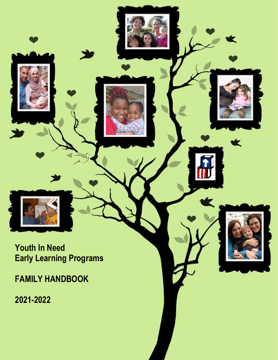**Youth In Need Early Learning Programs** k

**FAMILY HANDBOOK**

**2021-2022**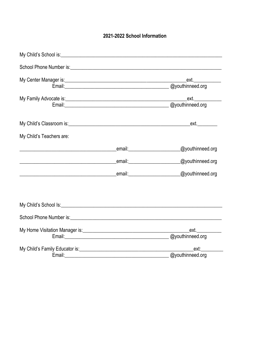#### 2021-2022 School Information

| My Child's School is: <u>contract the contract of the contract of the contract of the contract of the contract of</u>                                                                                                          |                         |                         |  |  |
|--------------------------------------------------------------------------------------------------------------------------------------------------------------------------------------------------------------------------------|-------------------------|-------------------------|--|--|
|                                                                                                                                                                                                                                |                         |                         |  |  |
|                                                                                                                                                                                                                                |                         | ext.                    |  |  |
|                                                                                                                                                                                                                                | Email: @youthinneed.org |                         |  |  |
|                                                                                                                                                                                                                                |                         |                         |  |  |
|                                                                                                                                                                                                                                |                         | Email: @youthinneed.org |  |  |
|                                                                                                                                                                                                                                |                         |                         |  |  |
| My Child's Teachers are:                                                                                                                                                                                                       |                         |                         |  |  |
| <u> 1989 - Jan James James James James James James James James James James James James James James James James J</u>                                                                                                           | email: email:           | @youthinneed.org        |  |  |
|                                                                                                                                                                                                                                |                         |                         |  |  |
|                                                                                                                                                                                                                                |                         |                         |  |  |
|                                                                                                                                                                                                                                |                         |                         |  |  |
| School Phone Number is: School Phone Number is: School Phone Number is: School Phone Number is: School Phone Number is: School Phone Number is: School Phone Number is: School Phone Number is: School Phone Number is: School |                         |                         |  |  |
|                                                                                                                                                                                                                                |                         |                         |  |  |
|                                                                                                                                                                                                                                |                         | Email: @youthinneed.org |  |  |
| My Child's Family Educator is: Manual According to the Child's Family Educator is:                                                                                                                                             |                         | ext:                    |  |  |
|                                                                                                                                                                                                                                |                         | @youthinneed.org        |  |  |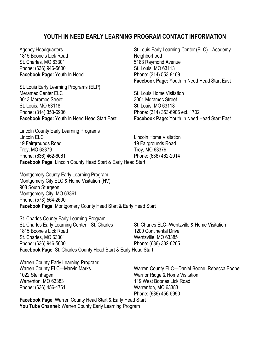#### **YOUTH IN NEED EARLY LEARNING PROGRAM CONTACT INFORMATION**

1815 Boone's Lick Road Neighborhood St. Charles, MO 63301 5183 Raymond Avenue Phone: (636) 946-5600 St. Louis, MO 63113 **Facebook Page:** Youth In Need Phone: (314) 553-9169

St. Louis Early Learning Programs (ELP) Meramec Center ELC St. Louis Home Visitation 3013 Meramec Street 3001 Meramec Street St. Louis, MO 63118 St. Louis, MO 63118 Phone: (314) 353-6906 Phone: (314) 353-6906 ext. 1702

Lincoln County Early Learning Programs Lincoln ELC Lincoln Home Visitation 19 Fairgrounds Road 19 Fairgrounds Road Troy, MO 63379 Troy, MO 63379 Phone: (636) 462-6061 Phone: (636) 462-2014 **Facebook Page**: Lincoln County Head Start & Early Head Start

Montgomery County Early Learning Program Montgomery City ELC & Home Visitation (HV) 908 South Sturgeon Montgomery City, MO 63361 Phone: (573) 564-2600 **Facebook Page**: Montgomery County Head Start & Early Head Start

St. Charles County Early Learning Program St. Charles Early Learning Center—St. Charles St. Charles ELC--Wentzville & Home Visitation 1815 Boone's Lick Road 1200 Continental Drive St. Charles, MO 63301 Wentzville, MO 63385 Phone: (636) 946-5600 Phone: (636) 332-0265 **Facebook Page**: St. Charles County Head Start & Early Head Start

Warren County Early Learning Program: 1022 Steinhagen Warrior Ridge & Home Visitation Warrenton, MO 63383 119 West Boones Lick Road Phone: (636) 456-1761 Warrenton, MO 63383

Agency Headquarters **St Louis Early Learning Center (ELC)—Academy** St Louis Early Learning Center (ELC)—Academy **Facebook Page:** Youth In Need Head Start East

**Facebook Page:** Youth In Need Head Start East **Facebook Page:** Youth In Need Head Start East

Warren County ELC—Marvin Marks Warren County ELC—Daniel Boone, Rebecca Boone, Phone: (636) 456-5990

**Facebook Page**: Warren County Head Start & Early Head Start **You Tube Channel:** Warren County Early Learning Program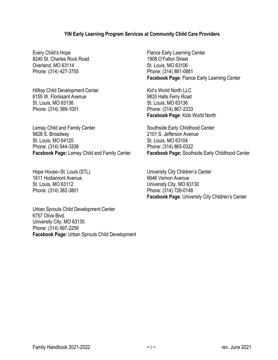#### **YIN Early Learning Program Services at Community Child Care Providers**

8240 St. Charles Rock Road 1908 O'Fallon Street Overland, MO 63114 St. Louis, MO 63106 Phone: (314) 427-3755 Phone: (314) 881-0881

Hilltop Child Development Center **Kid's World North LLC** 6155 W. Florissant Avenue 9833 Halls Ferry Road St. Louis, MO 63136 St. Louis, MO 63136 Phone: (314) 389-1001 Phone: (314) 867-2333

Lemay Child and Family Center Southside Early Childhood Center 9828 S. Broadway 2101 S. Jefferson Avenue St. Louis, MO 64125 St. Louis, MO 63104 Phone: (314) 544-3338 Phone: (314) 865-0322

1611 Hodiamont Avenue **1611 Contract 1611 Hotiamont Avenue** St. Louis, MO 63112 University City, MO 63130 Phone: (314) 382-3801 Phone: (314) 726-0148

Urban Sprouts Child Development Center 6757 Olive Blvd. University City, MO 63130 Phone: (314) 997-2259 **Facebook Page:** Urban Sprouts Child Development

Every Child's Hope **Flance Early Learning Center Facebook Page**: Flance Early Learning Center

**Facebook Page**: Kids World North

**Facebook Page:** Lemay Child and Family Center **Facebook Page:** Southside Early Childhood Center

Hope House--St. Louis (STL) University City Children's Center **Facebook Page**: University City Children's Center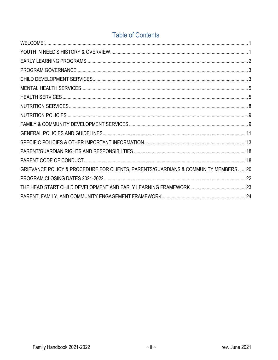## **Table of Contents**

| GRIEVANCE POLICY & PROCEDURE FOR CLIENTS, PARENTS/GUARDIANS & COMMUNITY MEMBERS  20 |  |
|-------------------------------------------------------------------------------------|--|
|                                                                                     |  |
|                                                                                     |  |
|                                                                                     |  |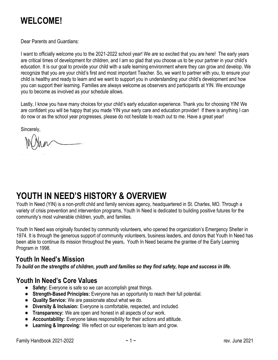# **WELCOME!**

Dear Parents and Guardians:

I want to officially welcome you to the 2021-2022 school year! We are so excited that you are here! The early years are critical times of development for children, and I am so glad that you choose us to be your partner in your child's education. It is our goal to provide your child with a safe learning environment where they can grow and develop. We recognize that you are your child's first and most important Teacher. So, we want to partner with you, to ensure your child is healthy and ready to learn and we want to support you in understanding your child's development and how you can support their learning. Families are always welcome as observers and participants at YIN. We encourage you to become as involved as your schedule allows.

Lastly, I know you have many choices for your child's early education experience. Thank you for choosing YIN! We are confident you will be happy that you made YIN your early care and education provider! If there is anything I can do now or as the school year progresses, please do not hesitate to reach out to me. Have a great year!

Sincerely,

## <span id="page-5-0"></span>**YOUTH IN NEED'S HISTORY & OVERVIEW**

Youth In Need (YIN) is a non-profit child and family services agency, headquartered in St. Charles, MO. Through a variety of crisis prevention and intervention programs, Youth In Need is dedicated to building positive futures for the community's most vulnerable children, youth, and families.

Youth In Need was originally founded by community volunteers, who opened the organization's Emergency Shelter in 1974. It is through the generous support of community volunteers, business leaders, and donors that Youth In Need has been able to continue its mission throughout the years**.** Youth In Need became the grantee of the Early Learning Program in 1998.

#### **Youth In Need's Mission**

*To build on the strengths of children, youth and families so they find safety, hope and success in life.*

#### **Youth In Need's Core Values**

- **Safety:** Everyone is safe so we can accomplish great things.
- **Strength-Based Principles:** Everyone has an opportunity to reach their full potential.
- **Quality Service:** We are passionate about what we do.
- **Diversity & Inclusion:** Everyone is comfortable, respected, and included.
- **Transparency:** We are open and honest in all aspects of our work.
- **Accountability:** Everyone takes responsibility for their actions and attitude.
- **Learning & Improving:** We reflect on our experiences to learn and grow.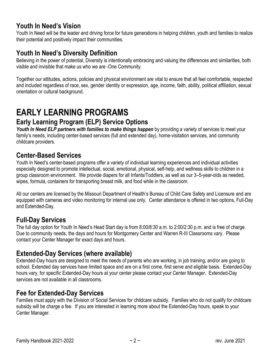#### **Youth In Need's Vision**

Youth In Need will be the leader and driving force for future generations in helping children, youth and families to realize their potential and positively impact their communities.

#### **Youth In Need's Diversity Definition**

Believing in the power of potential, Diversity is intentionally embracing and valuing the differences and similarities, both visible and invisible that make us who we are -One Community.

Together our attitudes, actions, policies and physical environment are vital to ensure that all feel comfortable, respected and included regardless of race, sex, gender identity or expression, age, income, faith, ability, political affiliation, sexual orientation or cultural background.

# <span id="page-6-0"></span>**EARLY LEARNING PROGRAMS**

#### **Early Learning Program (ELP) Service Options**

*Youth In Need ELP partners with families to make things happen* by providing a variety of services to meet your family's needs, including center-based services (full and extended day), home-visitation services, and community childcare providers.

#### **Center-Based Services**

Youth In Need's center-based programs offer a variety of individual learning experiences and individual activities especially designed to promote intellectual, social, emotional, physical, self-help, and wellness skills to children in a group classroom environment. We provide diapers for all Infants/Toddlers, as well as our 3–5-year-olds as needed, wipes, formula, containers for transporting breast milk, and food while in the classroom.

All our centers are licensed by the Missouri Department of Health's Bureau of Child Care Safety and Licensure and are equipped with cameras and video monitoring for internal use only. Center attendance is offered in two options, Full-Day and Extended-Day.

#### **Full-Day Services**

The full day option for Youth In Need's Head Start day is from 8:00/8:30 a.m. to 2:00/2:30 p.m. and is free of charge. Due to community needs, the days and hours for Montgomery Center and Warren R-III Classrooms vary. Please contact your Center Manager for exact days and hours.

#### **Extended-Day Services (where available)**

Extended-Day hours are designed to meet the needs of parents who are working, in job training, and/or are going to school. Extended day services have limited space and are on a first come, first serve and eligible basis. Extended-Day hours vary, for specific Extended-Day hours at your center please contact your Center Manager. Extended-Day services are not available in all classrooms.

#### **Fee for Extended-Day Services**

Families must apply with the Division of Social Services for childcare subsidy. Families who do not qualify for childcare subsidy will be charge a fee. If you are interested in learning more about the Extended-Day hours, speak to your Center Manager.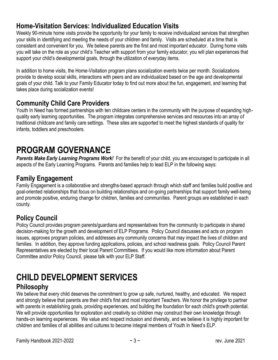## **Home-Visitation Services: Individualized Education Visits**

Weekly 90-minute home visits provide the opportunity for your family to receive individualized services that strengthen your skills in identifying and meeting the needs of your children and family. Visits are scheduled at a time that is consistent and convenient for you. We believe parents are the first and most important educator. During home visits you will take on the role as your child's Teacher with support from your family educator, you will plan experiences that support your child's developmental goals, through the utilization of everyday items.

In addition to home visits, the Home-Visitation program plans socialization events twice per month. Socializations provide to develop social skills, interactions with peers and are individualized based on the age and developmental goals of your child. Talk to your Family Educator today to find out more about the fun, engagement, and learning that takes place during socialization events!

#### **Community Child Care Providers**

Youth In Need has formed partnerships with ten childcare centers in the community with the purpose of expanding highquality early learning opportunities. The program integrates comprehensive services and resources into an array of traditional childcare and family care settings. These sites are supported to meet the highest standards of quality for infants, toddlers and preschoolers.

# <span id="page-7-0"></span>**PROGRAM GOVERNANCE**

*Parents Make Early Learning Programs Work!* For the benefit of your child, you are encouraged to participate in all aspects of the Early Learning Programs. Parents and families help to lead ELP in the following ways:

## **Family Engagement**

Family Engagement is a collaborative and strengths-based approach through which staff and families build positive and goal-oriented relationships that focus on building relationships and on-going partnerships that support family well-being and promote positive, enduring change for children, families and communities. Parent groups are established in each county.

## **Policy Council**

Policy Council provides program parents/guardians and representatives from the community to participate in shared decision-making for the growth and development of ELP Programs. Policy Council discusses and acts on program issues, approves program policies, and addresses any community concerns that may impact the lives of children and families. In addition, they approve funding applications, policies, and school readiness goals. Policy Council Parent Representatives are elected by their local Parent Committees. If you would like more information about Parent Committee and/or Policy Council*,* please talk with your ELP Staff.

## <span id="page-7-1"></span>**CHILD DEVELOPMENT SERVICES Philosophy**

We believe that every child deserves the commitment to grow up safe, nurtured, healthy, and educated. We respect and strongly believe that parents are their child's first and most important Teachers. We honor the privilege to partner with parents in establishing goals, providing experiences, and building the foundation for each child's growth potential. We will provide opportunities for exploration and creativity so children may construct their own knowledge through hands-on learning experiences. We value and respect inclusion and diversity, and we believe it is highly important for children and families of all abilities and cultures to become integral members of Youth In Need's ELP.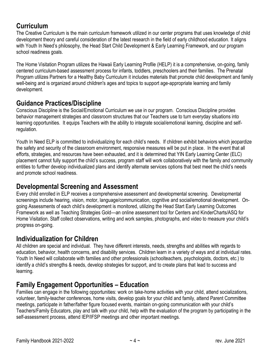#### **Curriculum**

The Creative Curriculum is the main curriculum framework utilized in our center programs that uses knowledge of child development theory and careful consideration of the latest research in the field of early childhood education. It aligns with Youth In Need's philosophy, the Head Start Child Development & Early Learning Framework, and our program school readiness goals.

The Home Visitation Program utilizes the Hawaii Early Learning Profile (HELP) it is a comprehensive, on-going, family centered curriculum-based assessment process for infants, toddlers, preschoolers and their families. The Prenatal Program utilizes Partners for a Healthy Baby Curriculum it includes materials that promote child development and family well-being and is organized around children's ages and topics to support age-appropriate learning and family development.

#### **Guidance Practices/Discipline**

Conscious Discipline is the Social/Emotional Curriculum we use in our program. Conscious Discipline provides behavior management strategies and classroom structures that our Teachers use to turn everyday situations into learning opportunities. It equips Teachers with the ability to integrate social/emotional learning, discipline and selfregulation.

Youth In Need ELP is committed to individualizing for each child's needs. If children exhibit behaviors which jeopardize the safety and security of the classroom environment, responsive measures will be put in place. In the event that all efforts, strategies, and resources have been exhausted, and it is determined that YIN Early Learning Center (ELC) placement cannot fully support the child's success, program staff will work collaboratively with the family and community entities to further develop individualized plans and identify alternate services options that best meet the child's needs and promote school readiness.

#### **Developmental Screening and Assessment**

Every child enrolled in ELP receives a comprehensive assessment and developmental screening. Developmental screenings include hearing, vision, motor, language/communication, cognitive and social/emotional development. Ongoing Assessments of each child's development is monitored, utilizing the Head Start Early Learning Outcomes Framework as well as Teaching Strategies Gold—an online assessment tool for Centers and KinderCharts/ASQ for Home Visitation. Staff collect observations, writing and work samples, photographs, and video to measure your child's progress on-going.

#### **Individualization for Children**

All children are special and individual. They have different interests, needs, strengths and abilities with regards to education, behavior, health concerns, and disability services. Children learn in a variety of ways and at individual rates. Youth In Need will collaborate with families and other professionals (schoolteachers, psychologists, doctors, etc.) to identify a child's strengths & needs, develop strategies for support, and to create plans that lead to success and learning.

## **Family Engagement Opportunities – Education**

Families can engage in the following opportunities: work on take-home activities with your child, attend socializations, volunteer, family-teacher conferences, home visits, develop goals for your child and family, attend Parent Committee meetings, participate in father/father figure focused events, maintain on-going communication with your child's Teachers/Family Educators, play and talk with your child, help with the evaluation of the program by participating in the self-assessment process, attend IEP/IFSP meetings and other important meetings.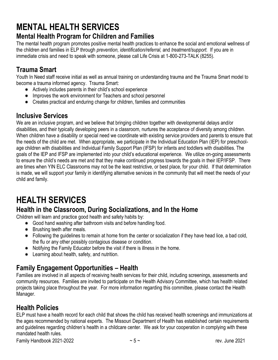# <span id="page-9-0"></span>**MENTAL HEALTH SERVICES**

## **Mental Health Program for Children and Families**

The mental health program promotes positive mental health practices to enhance the social and emotional wellness of the children and families in ELP through *prevention, identification/referral,* and *treatment/support.* If you are in immediate crisis and need to speak with someone, please call Life Crisis at 1-800-273-TALK (8255).

## **Trauma Smart**

Youth In Need staff receive initial as well as annual training on understanding trauma and the Trauma Smart model to become a trauma informed agency. Trauma Smart:

- \* Actively includes parents in their child's school experience
- \* Improves the work environment for Teachers and school personnel
- \* Creates practical and enduring change for children, families and communities

#### **Inclusive Services**

We are an inclusive program, and we believe that bringing children together with developmental delays and/or disabilities, and their typically developing peers in a classroom, nurtures the acceptance of diversity among children. When children have a disability or special need we coordinate with existing service providers and parents to ensure that the needs of the child are met. When appropriate, we participate in the Individual Education Plan (IEP) for preschoolage children with disabilities and Individual Family Support Plan (IFSP) for infants and toddlers with disabilities. The goals of the IEP and IFSP are implemented into your child's educational experience. We utilize on-going assessments to ensure the child's needs are met and that they make continued progress towards the goals in their IEP/IFSP. There are times when YIN ELC Classrooms may not be the least restrictive, or best place, for your child. If that determination is made, we will support your family in identifying alternative services in the community that will meet the needs of your child and family.

# <span id="page-9-1"></span>**HEALTH SERVICES**

## **Health in the Classroom, During Socializations, and In the Home**

Children will learn and practice good health and safety habits by:

- \* Good hand washing after bathroom visits and before handling food.
- $*$  Brushing teeth after meals.
- Following the guidelines to remain at home from the center or socialization if they have head lice, a bad cold, the flu or any other possibly contagious disease or condition.
- \* Notifying the Family Educator before the visit if there is illness in the home.
- **★** Learning about health, safety, and nutrition.

## **Family Engagement Opportunities – Health**

Families are involved in all aspects of receiving health services for their child, including screenings, assessments and community resources. Families are invited to participate on the Health Advisory Committee, which has health related projects taking place throughout the year. For more information regarding this committee, please contact the Health Manager.

#### **Health Policies**

ELP must have a health record for each child that shows the child has received health screenings and immunizations at the ages recommended by national experts. The Missouri Department of Health has established certain requirements and guidelines regarding children's health in a childcare center. We ask for your cooperation in complying with these mandated health rules.

Family Handbook 2021-2022  $\sim$  5  $\sim$   $\sim$  5  $\sim$   $\sim$  7  $\sim$   $\sim$   $\sim$   $\sim$   $\sim$  rev. June 2021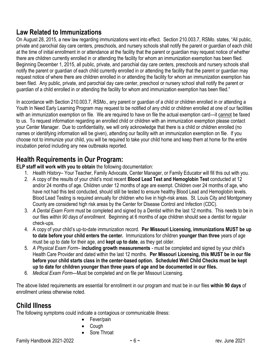#### **Law Related to Immunizations**

On August 28, 2015, a new law regarding immunizations went into effect. Section 210.003.7, RSMo. states, "All public, private and parochial day care centers, preschools, and nursery schools shall notify the parent or guardian of each child at the time of initial enrollment in or attendance at the facility that the parent or guardian may request notice of whether there are children currently enrolled in or attending the facility for whom an immunization exemption has been filed. Beginning December 1, 2015, all public, private, and parochial day care centers, preschools and nursery schools shall notify the parent or guardian of each child currently enrolled in or attending the facility that the parent or guardian may request notice of where there are children enrolled in or attending the facility for whom an immunization exemption has been filed. Any public, private, and parochial day care center, preschool or nursery school shall notify the parent or guardian of a child enrolled in or attending the facility for whom and immunization exemption has been filed."

In accordance with Section 210.003.7, RSMo., any parent or guardian of a child or children enrolled in or attending a Youth In Need Early Learning Program may request to be notified of any child or children enrolled at one of our facilities with an immunization exemption on file. We are required to have on file the actual exemption card—it cannot be faxed to us. To request information regarding an enrolled child or children with an immunization exemption please contact your Center Manager. Due to confidentiality, we will only acknowledge that there is a child or children enrolled (no names or identifying information will be given), attending our facility with an immunization exemption on file. If you choose not to immunize your child, you will be required to take your child home and keep them at home for the entire incubation period including any new outbreaks reported.

#### **Health Requirements in Our Program:**

**ELP staff will work with you to obtain** the following documentation:

- 1. *Health History* Your Teacher, Family Advocate, Center Manager, or Family Educator will fill this out with you.
- 2. A copy of the results of your child's most recent **Blood Lead Test and Hemoglobin Test** conducted at 12 and/or 24 months of age. Children under 12 months of age are exempt. Children over 24 months of age, who have not had this test conducted, should still be tested to ensure healthy Blood Lead and Hemoglobin levels. Blood Lead Testing is required annually for children who live in high-risk areas. St. Louis City and Montgomery County are considered high risk areas by the Center for Disease Control and Infection (CDC).
- 3. *A Dental Exam Form* must be completed and signed by a Dentist within the last 12 months. This needs to be in our files *within 90 days of enrollment.* Beginning at 6 months of age children should see a dentist for regular check-ups.
- 4. A copy of your child's up-to-date immunization record. **Per Missouri Licensing, immunizations MUST be up to date before your child enters the center.** Immunizations for children **younger than three** years of age must be up to date for their age, and **kept up to date**, as they get older.
- 5. *A Physical Exam Form* **including growth measurements** *-* must be completed and signed by your child's Health Care Provider and dated within the last 12 months. **Per Missouri Licensing, this MUST be in our file before your child starts class in the center-based option. Scheduled Well Child Checks must be kept up to date for children younger than three years of age and be documented in our files.**
- 6. *Medical Exam Form—*Must be completed and on file per Missouri Licensing.

The above listed requirements are essential for enrollment in our program and must be in our files **within 90 days** of enrollment unless otherwise noted.

## **Child Illness**

The following symptoms could indicate a contagious or communicable illness:

- Fever/pain
- Cough
- Sore Throat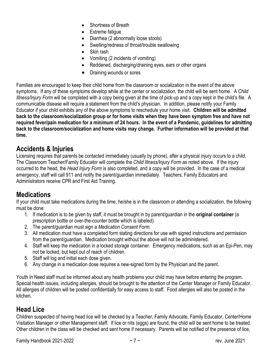- Shortness of Breath
- Extreme fatigue
- Diarrhea (2 abnormally loose stools)
- Swelling/redness of throat/trouble swallowing
- Skin rash
- Vomiting (2 incidents of vomiting)
- Reddened, discharging/draining eyes, ears or other organs
- Draining wounds or sores

Families are encouraged to keep their child home from the classroom or socialization in the event of the above symptoms. If any of these symptoms develop while at the center or socialization, the child will be sent home. A *Child Illness/Injury Form* will be completed with a copy being given at the time of pick-up and a copy kept in the child's file. A communicable disease will require a statement from the child's physician. In addition, please notify your Family Educator if your child exhibits any of the above symptoms to reschedule your home visit. **Children will be admitted back to the classroom/socialization group or for home visits when they have been symptom free and have not required fever/pain medication for a minimum of 24 hours. In the event of a Pandemic, guidelines for admitting back to the classroom/socialization and home visits may change. Further information will be provided at that time.** 

#### **Accidents & Injuries**

Licensing requires that parents be contacted immediately (usually by phone), after a physical injury occurs to a child. The Classroom Teacher/Family Educator will complete the *Child Illness/Injury Form* as noted above. If the injury occurred to the head, the *Head Injury Form* is also completed, and a copy will be provided. In the case of a medical emergency, staff will call 911 and notify the parent/guardian immediately. Teachers, Family Educators and Administrators receive CPR and First Aid Training.

#### **Medications**

If your child must take medications during the time, he/she is in the classroom or attending a socialization, the following must be done:

- 1. If medication is to be given by staff, it must be brought in by parent/guardian in the **original container** (a prescription bottle or over-the-counter bottle which is labeled).
- 2. The parent/guardian must sign a *Medication Consent Form*.
- 3. All medication must have a completed form stating directions for use with signed instructions and permission from the parent/guardian. Medication brought without the above will not be administered.
- 4. Staff will keep the medication in a locked storage container. Emergency medications, such as an Epi-Pen, may not be locked, but kept out of reach of children.
- 5. Staff will log and initial each dose given.
- 6. Any change in a medication dose requires a new-signed form by the Physician and the parent.

Youth In Need staff must be informed about any health problems your child may have before entering the program. Special health issues, including allergies, should be brought to the attention of the Center Manager or Family Educator. All allergies of children will be posted confidentially for easy access to staff. Food allergies will also be posted in the kitchen.

#### **Head Lice**

Children suspected of having head lice will be checked by a Teacher, Family Advocate, Family Educator, Center/Home Visitation Manager or other Management staff. If lice or nits (eggs) are found, the child will be sent home to be treated. Other children in the class will be checked and sent home if necessary. Parents will be notified of the presence of lice,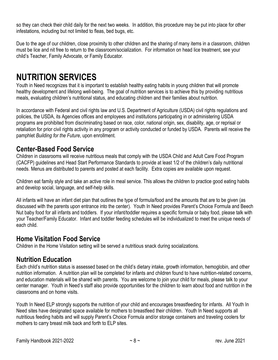so they can check their child daily for the next two weeks. In addition, this procedure may be put into place for other infestations, including but not limited to fleas, bed bugs, etc.

Due to the age of our children, close proximity to other children and the sharing of many items in a classroom, children must be lice and nit free to return to the classroom/socialization. For information on head lice treatment, see your child's Teacher, Family Advocate, or Family Educator.

# <span id="page-12-0"></span>**NUTRITION SERVICES**

Youth in Need recognizes that it is important to establish healthy eating habits in young children that will promote healthy development and lifelong well-being. The goal of nutrition services is to achieve this by providing nutritious meals, evaluating children's nutritional status, and educating children and their families about nutrition.

In accordance with Federal and civil rights law and U.S. Department of Agriculture (USDA) civil rights regulations and policies, the USDA, its Agencies offices and employees and institutions participating in or administering USDA programs are prohibited from discriminating based on race, color, national origin, sex, disability, age, or reprisal or retaliation for prior civil rights activity in any program or activity conducted or funded by USDA. Parents will receive the pamphlet *Building for the Future*, upon enrollment.

#### **Center-Based Food Service**

Children in classrooms will receive nutritious meals that comply with the USDA Child and Adult Care Food Program (CACFP) guidelines and Head Start Performance Standards to provide at least 1/2 of the children's daily nutritional needs. Menus are distributed to parents and posted at each facility. Extra copies are available upon request.

Children eat family style and take an active role in meal service. This allows the children to practice good eating habits and develop social, language, and self-help skills.

All infants will have an infant diet plan that outlines the type of formula/food and the amounts that are to be given (as discussed with the parents upon entrance into the center). Youth In Need provides Parent's Choice Formula and Beech Nut baby food for all infants and toddlers. If your infant/toddler requires a specific formula or baby food, please talk with your Teacher/Family Educator. Infant and toddler feeding schedules will be individualized to meet the unique needs of each child.

#### **Home Visitation Food Service**

Children in the Home Visitation setting will be served a nutritious snack during socializations.

#### **Nutrition Education**

Each child's nutrition status is assessed based on the child's dietary intake, growth information, hemoglobin, and other nutrition information. A nutrition plan will be completed for infants and children found to have nutrition-related concerns, and education materials will be shared with parents. You are welcome to join your child for meals, please talk to your center manager. Youth in Need's staff also provide opportunities for the children to learn about food and nutrition in the classrooms and on home visits.

Youth In Need ELP strongly supports the nutrition of your child and encourages breastfeeding for infants. All Youth In Need sites have designated space available for mothers to breastfeed their children. Youth In Need supports all nutritious feeding habits and will supply Parent's Choice Formula and/or storage containers and traveling coolers for mothers to carry breast milk back and forth to ELP sites.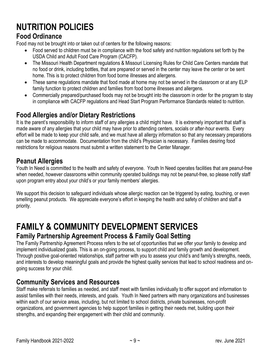# <span id="page-13-0"></span>**NUTRITION POLICIES**

#### **Food Ordinance**

Food may not be brought into or taken out of centers for the following reasons:

- Food served to children must be in compliance with the food safety and nutrition regulations set forth by the USDA Child and Adult Food Care Program (CACFP).
- The Missouri Health Department regulations & Missouri Licensing Rules for Child Care Centers mandate that no food or drink, including bottles, that are prepared or served in the center may leave the center or be sent home. This is to protect children from food borne illnesses and allergens.
- These same regulations mandate that food made at home may not be served in the classroom or at any ELP family function to protect children and families from food borne illnesses and allergens.
- Commercially prepared/purchased foods may not be brought into the classroom in order for the program to stay in compliance with CACFP regulations and Head Start Program Performance Standards related to nutrition.

#### **Food Allergies and/or Dietary Restrictions**

It is the parent's responsibility to inform staff of any allergies a child might have. It is extremely important that staff is made aware of any allergies that your child may have prior to attending centers, socials or after-hour events. Every effort will be made to keep your child safe, and we must have all allergy information so that any necessary preparations can be made to accommodate. Documentation from the child's Physician is necessary. Families desiring food restrictions for religious reasons must submit a written statement to the Center Manager.

#### **Peanut Allergies**

Youth In Need is committed to the health and safety of everyone. Youth In Need operates facilities that are peanut-free when needed, however classrooms within community operated buildings may not be peanut-free, so please notify staff upon program entry about your child's or your family members' allergies.

We support this decision to safeguard individuals whose allergic reaction can be triggered by eating, touching, or even smelling peanut products. We appreciate everyone's effort in keeping the health and safety of children and staff a priority.

# <span id="page-13-1"></span>**FAMILY & COMMUNITY DEVELOPMENT SERVICES**

#### **Family Partnership Agreement Process & Family Goal Setting**

The Family Partnership Agreement Process refers to the set of opportunities that we offer your family to develop and implement individualized goals. This is an on-going process, to support child and family growth and development. Through positive goal-oriented relationships, staff partner with you to assess your child's and family's strengths, needs, and interests to develop meaningful goals and provide the highest quality services that lead to school readiness and ongoing success for your child.

#### **Community Services and Resources**

Staff make referrals to families as needed, and staff meet with families individually to offer support and information to assist families with their needs, interests, and goals. Youth In Need partners with many organizations and businesses within each of our service areas, including, but not limited to school districts, private businesses, non-profit organizations, and government agencies to help support families in getting their needs met, building upon their strengths, and expanding their engagement with their child and community.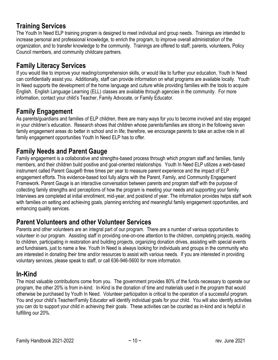#### **Training Services**

The Youth In Need ELP training program is designed to meet individual and group needs. Trainings are intended to increase personal and professional knowledge, to enrich the program, to improve overall administration of the organization, and to transfer knowledge to the community. Trainings are offered to staff, parents, volunteers, Policy Council members, and community childcare partners.

#### **Family Literacy Services**

If you would like to improve your reading/comprehension skills, or would like to further your education, Youth In Need can confidentially assist you. Additionally, staff can provide information on what programs are available locally. Youth In Need supports the development of the home language and culture while providing families with the tools to acquire English. English Language Learning (ELL) classes are available through agencies in the community. For more information, contact your child's Teacher, Family Advocate, or Family Educator.

#### **Family Engagement**

As parents/guardians and families of ELP children, there are many ways for you to become involved and stay engaged in your children's education. Research shows that children whose parents/families are strong in the following seven family engagement areas do better in school and in life; therefore, we encourage parents to take an active role in all family engagement opportunities Youth In Need ELP has to offer.

#### **Family Needs and Parent Gauge**

Family engagement is a collaborative and strengths-based process through which program staff and families, family members, and their children build positive and goal-oriented relationships. Youth In Need ELP utilizes a web-based instrument called Parent Gauge® three times per year to measure parent experience and the impact of ELP engagement efforts. This evidence-based tool fully aligns with the Parent, Family, and Community Engagement Framework. Parent Gauge is an interactive conversation between parents and program staff with the purpose of collecting family strengths and perceptions of how the program is meeting your needs and supporting your family. Interviews are completed at initial enrollment, mid-year, and post/end of year. The information provides helps staff work with families on setting and achieving goals, planning enriching and meaningful family engagement opportunities, and enhancing quality services.

#### **Parent Volunteers and other Volunteer Services**

Parents and other volunteers are an integral part of our program. There are a number of various opportunities to volunteer in our program. Assisting staff in providing one-on-one attention to the children, completing projects, reading to children, participating in restoration and building projects, organizing donation drives, assisting with special events and fundraisers, just to name a few. Youth In Need is always looking for individuals and groups in the community who are interested in donating their time and/or resources to assist with various needs. If you are interested in providing voluntary services, please speak to staff, or call 636-946-5600 for more information.

#### **In-Kind**

The most valuable contributions come from you. The government provides 80% of the funds necessary to operate our program, the other 20% is from in-kind. In-Kind is the donation of time and materials used in the program that would otherwise be purchased by Youth In Need. Volunteer participation is critical to the operation of a successful program. You and your child's Teacher/Family Educator will identify individual goals for your child. You will also identify activities you can do to support your child in achieving their goals. These activities can be counted as in-kind and is helpful in fulfilling our 20%.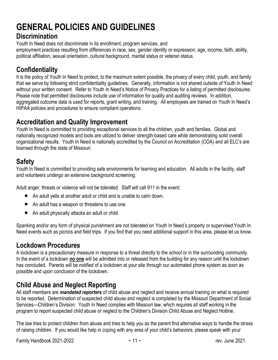# <span id="page-15-0"></span>**GENERAL POLICIES AND GUIDELINES**

#### **Discrimination**

Youth In Need does not discriminate in its enrollment, program services, and

employment practices resulting from differences in race, sex, gender identity or expression, age, income, faith, ability, political affiliation, sexual orientation, cultural background, marital status or veteran status.

## **Confidentiality**

It is the policy of Youth In Need to protect, to the maximum extent possible, the privacy of every child, youth, and family that we serve by following strict confidentiality guidelines. Generally, information is not shared outside of Youth In Need without your written consent. Refer to Youth In Need's Notice of Privacy Practices for a listing of permitted disclosures. Please note that permitted disclosures include use of information for quality and auditing reviews. In addition, aggregated outcome data is used for reports, grant writing, and training. All employees are trained on Youth In Need's HIPAA policies and procedures to ensure compliant operations.

#### **Accreditation and Quality Improvement**

Youth In Need is committed to providing exceptional services to all the children, youth and families. Global and nationally recognized models and tools are utilized to deliver strength-based care while demonstrating solid overall organizational results. Youth In Need is nationally accredited by the Council on Accreditation (COA) and all ELC's are licensed through the state of Missouri.

## **Safety**

Youth In Need is committed to providing safe environments for learning and education. All adults in the facility, staff and volunteers undergo an extensive background screening.

Adult anger, threats or violence will not be tolerated. Staff will call 911 in the event:

- An adult yells at another adult or child and is unable to calm down.
- An adult has a weapon or threatens to use one.
- An adult physically attacks an adult or child.

Spanking and/or any form of physical punishment are not tolerated on Youth In Need's property or supervised Youth In Need events such as picnics and field trips. If you find that you need additional support in this area, please let us know.

## **Lockdown Procedures**

A lockdown is a precautionary measure in response to a threat directly to the school or in the surrounding community. In the event of a lockdown **no one** will be admitted into or released from the building for any reason until the lockdown has concluded. Parents will be notified of a lockdown at your site through our automated phone system as soon as possible and upon conclusion of the lockdown.

## **Child Abuse and Neglect Reporting**

All staff members are *mandated reporters* of child abuse and neglect and receive annual training on what is required to be reported. Determination of suspected child abuse and neglect is completed by the Missouri Department of Social Services—Children's Division. Youth In Need complies with Missouri law, which requires all staff working in the program to report suspected child abuse or neglect to the Children's Division Child Abuse and Neglect Hotline.

The law tries to protect children from abuse and tries to help you as the parent find alternative ways to handle the stress of raising children. If you would like help in coping with any area of your child's behaviors, please speak with your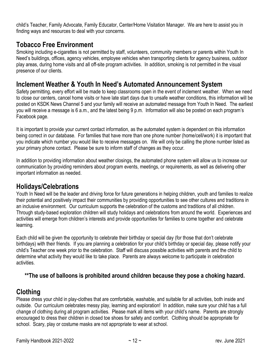child's Teacher, Family Advocate, Family Educator, Center/Home Visitation Manager. We are here to assist you in finding ways and resources to deal with your concerns.

#### **Tobacco Free Environment**

Smoking including e-cigarettes is not permitted by staff, volunteers, community members or parents within Youth In Need's buildings, offices, agency vehicles, employee vehicles when transporting clients for agency business, outdoor play areas, during home visits and all off-site program activities. In addition, smoking is not permitted in the visual presence of our clients.

#### **Inclement Weather & Youth In Need's Automated Announcement System**

Safety permitting, every effort will be made to keep classrooms open in the event of inclement weather. When we need to close our centers, cancel home visits or have late start days due to unsafe weather conditions, this information will be posted on KSDK News Channel 5 and your family will receive an automated message from Youth In Need. The earliest you will receive a message is 6 a.m., and the latest being 9 p.m. Information will also be posted on each program's Facebook page.

It is important to provide your current contact information, as the automated system is dependent on this information being correct in our database. For families that have more than one phone number (home/cell/work) it is important that you indicate which number you would like to receive messages on. We will only be calling the phone number listed as your primary phone contact. Please be sure to inform staff of changes as they occur.

In addition to providing information about weather closings, the automated phone system will allow us to increase our communication by providing reminders about program events, meetings, or requirements, as well as delivering other important information as needed.

#### **Holidays/Celebrations**

Youth In Need will be the leader and driving force for future generations in helping children, youth and families to realize their potential and positively impact their communities by providing opportunities to see other cultures and traditions in an inclusive environment. Our curriculum supports the celebration of the customs and traditions of all children. Through study-based exploration children will study holidays and celebrations from around the world. Experiences and activities will emerge from children's interests and provide opportunities for families to come together and celebrate learning.

Each child will be given the opportunity to celebrate their birthday or special day (for those that don't celebrate birthdays) with their friends. If you are planning a celebration for your child's birthday or special day, please notify your child's Teacher one week prior to the celebration. Staff will discuss possible activities with parents and the child to determine what activity they would like to take place. Parents are always welcome to participate in celebration activities.

#### **\*\*The use of balloons is prohibited around children because they pose a choking hazard.**

#### **Clothing**

Please dress your child in play-clothes that are comfortable, washable, and suitable for all activities, both inside and outside. Our curriculum celebrates messy play, learning and exploration! In addition, make sure your child has a full change of clothing during all program activities. Please mark all items with your child's name. Parents are strongly encouraged to dress their children in closed toe shoes for safety and comfort. Clothing should be appropriate for school. Scary, play or costume masks are not appropriate to wear at school.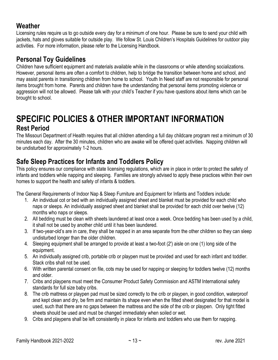#### **Weather**

Licensing rules require us to go outside every day for a minimum of one hour. Please be sure to send your child with jackets, hats and gloves suitable for outside play. We follow St. Louis Children's Hospitals Guidelines for outdoor play activities. For more information, please refer to the Licensing Handbook.

#### **Personal Toy Guidelines**

Children have sufficient equipment and materials available while in the classrooms or while attending socializations. However, personal items are often a comfort to children, help to bridge the transition between home and school, and may assist parents in transitioning children from home to school. Youth In Need staff are not responsible for personal items brought from home. Parents and children have the understanding that personal items promoting violence or aggression will not be allowed. Please talk with your child's Teacher if you have questions about items which can be brought to school.

#### <span id="page-17-0"></span>**SPECIFIC POLICIES & OTHER IMPORTANT INFORMATION Rest Period**

The Missouri Department of Health requires that all children attending a full day childcare program rest a minimum of 30 minutes each day. After the 30 minutes, children who are awake will be offered quiet activities. Napping children will be undisturbed for approximately 1-2 hours.

#### **Safe Sleep Practices for Infants and Toddlers Policy**

This policy ensures our compliance with state licensing regulations, which are in place in order to protect the safety of infants and toddlers while napping and sleeping. Families are strongly advised to apply these practices within their own homes to support the health and safety of infants & toddlers.

The General Requirements of Indoor Nap & Sleep Furniture and Equipment for Infants and Toddlers include:

- 1. An individual cot or bed with an individually assigned sheet and blanket must be provided for each child who naps or sleeps. An individually assigned sheet and blanket shall be provided for each child over twelve (12) months who naps or sleeps.
- 2. All bedding must be clean with sheets laundered at least once a week. Once bedding has been used by a child, it shall not be used by another child until it has been laundered.
- 3. If two-year-old's are in care, they shall be napped in an area separate from the other children so they can sleep undisturbed longer than the older children.
- 4. Sleeping equipment shall be arranged to provide at least a two-foot (2') aisle on one (1) long side of the equipment.
- 5. An individually assigned crib, portable crib or playpen must be provided and used for each infant and toddler. Stack cribs shall not be used.
- 6. With written parental consent on file, cots may be used for napping or sleeping for toddlers twelve (12) months and older.
- 7. Cribs and playpens must meet the Consumer Product Safety Commission and ASTM International safety standards for full size baby cribs.
- 8. The crib mattress or playpen pad must be sized correctly to the crib or playpen, in good condition, waterproof and kept clean and dry, be firm and maintain its shape even when the fitted sheet designated for that model is used, such that there are no gaps between the mattress and the side of the crib or playpen. Only tight fitted sheets should be used and must be changed immediately when soiled or wet.
- 9. Cribs and playpens shall be left consistently in place for infants and toddlers who use them for napping.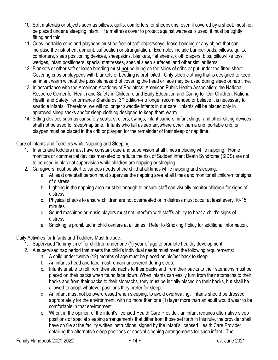- 10. Soft materials or objects such as pillows, quilts, comforters, or sheepskins, even if covered by a sheet, must not be placed under a sleeping infant. If a mattress cover to protect against wetness is used, it must be tightly fitting and thin.
- 11. Cribs, portable cribs and playpens must be free of soft objects/toys, loose bedding or any object that can increase the risk of entrapment, suffocation or strangulation. Examples include bumper pads, pillows, quilts, comforters, sleep positioning devices, sheepskins, blankets, flat sheets, cloth diapers, bibs, pillow-like toys, wedges, infant positioners, special mattresses, special sleep surfaces, and other similar items.
- 12. Blankets or other soft or loose bedding must **not** be hung on the sides of cribs or put under the fitted sheet. Covering cribs or playpens with blankets or bedding is prohibited. Only sleep clothing that is designed to keep an infant warm without the possible hazard of covering the head or face may be used during sleep or nap time.
- 13. In accordance with the American Academy of Pediatrics; American Public Health Association; the National Resource Center for Health and Safety in Childcare and Early Education and Caring for Our Children: National Health and Safety Performance Standards, 3<sup>rd</sup> Edition--no longer recommended or believe it is necessary to swaddle infants. Therefore, we will no longer swaddle infants in our care. Infants will be placed only in approved sleep sacks and/or sleep clothing designed to keep them warm.
- 14. Sitting devices such as car safety seats, strollers, swings, infant carriers, infant slings, and other sitting devices shall not be used for sleep/nap time. Infants who fall asleep anywhere other than a crib, portable crib, or playpen must be placed in the crib or playpen for the remainder of their sleep or nap time.

Care of Infants and Toddlers while Napping and Sleeping:

- 1. Infants and toddlers must have constant care and supervision at all times including while napping. Home monitors or commercial devices marketed to reduce the risk of Sudden Infant Death Syndrome (SIDS) are not to be used in place of supervision while children are napping or sleeping.
- 2. Caregivers must be alert to various needs of the child at all times while napping and sleeping.
	- a. At least one staff person must supervise the napping area at all times and monitor all children for signs of distress.
	- b. Lighting in the napping area must be enough to ensure staff can visually monitor children for signs of distress.
	- c. Physical checks to ensure children are not overheated or in distress must occur at least every 10-15 minutes.
	- d. Sound machines or music players must not interfere with staff's ability to hear a child's signs of distress.
	- e. Smoking is prohibited in child centers at all times. Refer to Smoking Policy for additional information.

Daily Activities for Infants and Toddlers Must Include:

- 1. Supervised "tummy time" for children under one (1) year of age to promote healthy development.
- 2. A supervised nap period that meets the child's individual needs must meet the following requirements:
	- a. A child under twelve (12) months of age must be placed on his/her back to sleep.
	- b. An infant's head and face must remain uncovered during sleep.
	- c. Infants unable to roll from their stomachs to their backs and from their backs to their stomachs must be placed on their backs when found face down. When infants can easily turn from their stomachs to their backs and from their backs to their stomachs, they must be initially placed on their backs, but shall be allowed to adopt whatever positions they prefer for sleep.
	- d. An infant must not be overdressed when sleeping, to avoid overheating. Infants should be dressed appropriately for the environment, with no more than one (1) layer more than an adult would wear to be comfortable in that environment.
	- e. When, in the opinion of the infant's licensed Health Care Provider, an infant requires alternative sleep positions or special sleeping arrangements that differ from those set forth in this rule, the provider shall have on file at the facility written instructions, signed by the infant's licensed Health Care Provider, detailing the alternative sleep positions or special sleeping arrangements for such infant. The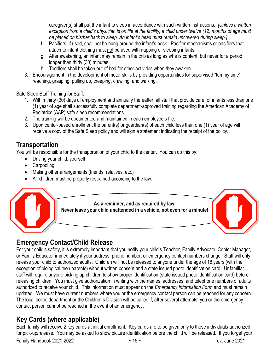caregiver(s) shall put the infant to sleep in accordance with such written instructions. *[Unless a written exception from a child's physician is on file at the facility, a child under twelve (12) months of age must be placed on his/her back to sleep. An infant's head must remain uncovered during sleep.]* 

- f. Pacifiers, if used, shall not be hung around the infant's neck. Pacifier mechanisms or pacifiers that attach to infant clothing must not be used with napping or sleeping infants.
- g. After awakening, an infant may remain in the crib as long as s/he is content, but never for a period longer than thirty (30) minutes.
- h. Toddlers shall be taken out of bed for other activities when they awaken.
- 3. Encouragement in the development of motor skills by providing opportunities for supervised "tummy time", reaching, grasping, pulling up, creeping, crawling, and walking.

Safe Sleep Staff Training for Staff:

- 1. Within thirty (30) days of employment and annually thereafter, all staff that provide care for infants less than one (1) year of age shall successfully complete department-approved training regarding the American Academy of Pediatrics (AAP) safe sleep recommendations.
- 2. The training will be documented and maintained in each employee's file.
- 3. Upon center-based enrollment the parent(s) or guardian(s) of each child less than one (1) year of age will receive a copy of the Safe Sleep policy and will sign a statement indicating the receipt of the policy.

#### **Transportation**

You will be responsible for the transportation of your child to the center. You can do this by:

- Driving your child, yourself
- Carpooling
- Making other arrangements (friends, relatives, etc.)
- All children must be properly restrained according to the law.



## **Emergency Contact/Child Release**

For your child's safety, it is extremely important that you notify your child's Teacher, Family Advocate, Center Manager, or Family Educator immediately if your address, phone number, or emergency contact numbers change. Staff will only release your child to authorized adults. Children will not be released to anyone under the age of 16 years (with the exception of biological teen parents) without written consent and a state issued photo identification card. Unfamiliar staff will require anyone picking up children to show proper identification (state issued photo identification card) before releasing children. You must give authorization in writing with the names, addresses, and telephone numbers of adults authorized to receive your child. This information must appear on the *Emergency Information Form* and must remain updated. We must have current numbers where you or the emergency contact person can be reached for any concern. The local police department or the Children's Division will be called if, after several attempts, you or the emergency contact person cannot be reached in the event of an emergency.

## **Key Cards (where applicable)**

Each family will receive 2 key cards at initial enrollment. Key cards are to be given only to those individuals authorized for pick-up/release. You may be asked to show picture identification before the child will be released. If you forget your

Family Handbook 2021-2022  $-15 \sim 15 \sim 100$  rev. June 2021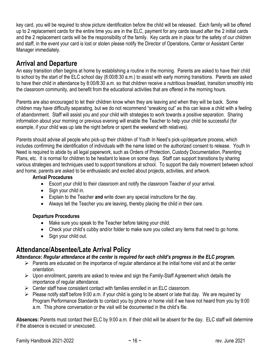key card, you will be required to show picture identification before the child will be released. Each family will be offered up to 2 replacement cards for the entire time you are in the ELC, payment for any cards issued after the 2 initial cards and the 2 replacement cards will be the responsibility of the family. Key cards are in place for the safety of our children and staff, in the event your card is lost or stolen please notify the Director of Operations, Center or Assistant Center Manager immediately.

## **Arrival and Departure**

An easy transition often begins at home by establishing a routine in the morning. Parents are asked to have their child to school by the start of the ELC school day (8:00/8:30 a.m.) to assist with early morning transitions. Parents are asked to have their child in attendance by 8:00/8:30 a.m. so that children receive a nutritious breakfast, transition smoothly into the classroom community, and benefit from the educational activities that are offered in the morning hours.

Parents are also encouraged to let their children know when they are leaving and when they will be back. Some children may have difficulty separating, but we do not recommend "sneaking out" as this can leave a child with a feeling of abandonment. Staff will assist you and your child with strategies to work towards a positive separation. Sharing information about your morning or previous evening will enable the Teacher to help your child be successful (for example, if your child was up late the night before or spent the weekend with relatives).

Parents should advise all people who pick-up their children of Youth In Need's pick-up/departure process, which includes confirming the identification of individuals with the name listed on the authorized consent to release. Youth In Need is required to abide by all legal paperwork, such as Orders of Protection, Custody Documentation, Parenting Plans, etc. It is normal for children to be hesitant to leave on some days. Staff can support transitions by sharing various strategies and techniques used to support transitions at school. To support the daily movement between school and home, parents are asked to be enthusiastic and excited about projects, activities, and artwork.

#### **Arrival Procedures**

- Escort your child to their classroom and notify the classroom Teacher of your arrival.
- Sign your child in.
- Explain to the Teacher **and** write down any special instructions for the day.
- Always tell the Teacher you are leaving, thereby placing the child in their care.

#### **Departure Procedures**

- Make sure you speak to the Teacher before taking your child.
- Check your child's cubby and/or folder to make sure you collect any items that need to go home.
- Sign your child out.

#### **Attendance/Absentee/Late Arrival Policy**

#### **Attendance:** *Regular attendance at the center is required for each child's progress in the ELC program.*

- $\triangleright$  Parents are educated on the importance of regular attendance at the initial home visit and at the center orientation.
- ➢ Upon enrollment, parents are asked to review and sign the Family-Staff Agreement which details the importance of regular attendance.
- ➢ Center staff have consistent contact with families enrolled in an ELC classroom.
- ➢ Please notify staff before 9:00 a.m. if your child is going to be absent or late that day. We are required by Program Performance Standards to contact you by phone or home visit if we have not heard from you by 9:00 a.m. This phone conversation or the visit will be documented in the child's file.

**Absences:** Parents must contact their ELC by 9:00 a.m. if their child will be absent for the day. ELC staff will determine if the absence is excused or unexcused.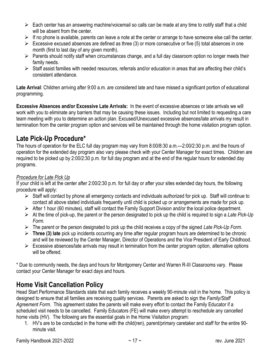- $\triangleright$  Each center has an answering machine/voicemail so calls can be made at any time to notify staff that a child will be absent from the center.
- $\triangleright$  If no phone is available, parents can leave a note at the center or arrange to have someone else call the center.
- $\triangleright$  Excessive excused absences are defined as three (3) or more consecutive or five (5) total absences in one month (first to last day of any given month).
- ➢ Parents should notify staff when circumstances change, and a full day classroom option no longer meets their family needs.
- ➢ Staff assist families with needed resources, referrals and/or education in areas that are affecting their child's consistent attendance.

**Late Arrival**: Children arriving after 9:00 a.m. are considered late and have missed a significant portion of educational programming.

**Excessive Absences and/or Excessive Late Arrivals:** In the event of excessive absences or late arrivals we will work with you to eliminate any barriers that may be causing these issues. Including but not limited to requesting a care team meeting with you to determine an action plan. Excused/Unexcused excessive absences/late arrivals my result in termination from the center program option and services will be maintained through the home visitation program option.

#### **Late Pick-Up Procedure\***

The hours of operation for the ELC full day program may vary from 8:00/8:30 a.m.—2:00/2:30 p.m. and the hours of operation for the extended day program also vary please check with your Center Manager for exact times. Children are required to be picked up by 2:00/2:30 p.m. for full day program and at the end of the regular hours for extended day programs.

#### *Procedure for Late Pick Up*

If your child is left at the center after 2:00/2:30 p.m. for full day or after your sites extended day hours, the following procedure will apply:

- $\triangleright$  Staff will contact by phone all emergency contacts and individuals authorized for pick up. Staff will continue to contact all above stated individuals frequently until child is picked up or arrangements are made for pick up.
- ➢ After 1 hour (60 minutes), staff will contact the Family Support Division and/or the local police department.
- ➢ At the time of pick-up, the parent or the person designated to pick up the child is required to sign a *Late Pick-Up Form.*
- ➢ The parent or the person designated to pick up the child receives a copy of the signed *Late Pick-Up Form.*
- ➢ **Three (3) late** pick up incidents occurring any time after regular program hours are determined to be chronic and will be reviewed by the Center Manager, Director of Operations and the Vice President of Early Childhood.
- $\triangleright$  Excessive absences/late arrivals may result in termination from the center program option, alternative options will be offered.

\* Due to community needs, the days and hours for Montgomery Center and Warren R-III Classrooms vary. Please contact your Center Manager for exact days and hours.

## **Home Visit Cancellation Policy**

Head Start Performance Standards state that each family receives a weekly 90-minute visit in the home. This policy is designed to ensure that all families are receiving quality services. Parents are asked to sign the *Family/Staff Agreement Form*. This agreement states the parents will make every effort to contact the Family Educator if a scheduled visit needs to be cancelled. Family Educators (FE) will make every attempt to reschedule any cancelled home visits (HV). The following are the essential goals in the Home Visitation program:

1. HV's are to be conducted in the home with the child(ren), parent/primary caretaker and staff for the entire 90 minute visit.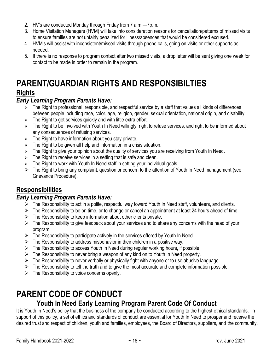- 2. HV's are conducted Monday through Friday from 7 a.m.—7p.m.
- 3. Home Visitation Managers (HVM) will take into consideration reasons for cancellation/patterns of missed visits to ensure families are not unfairly penalized for illness/absences that would be considered excused.
- 4. HVM's will assist with inconsistent/missed visits through phone calls, going on visits or other supports as needed.
- 5. If there is no response to program contact after two missed visits, a drop letter will be sent giving one week for contact to be made in order to remain in the program.

## <span id="page-22-0"></span>**PARENT/GUARDIAN RIGHTS AND RESPONSIBILTIES Rights**

#### *Early Learning Program Parents Have:*

- ➢ The Right to professional, responsible, and respectful service by a staff that values all kinds of differences between people including race, color, age, religion, gender, sexual orientation, national origin, and disability.
- $\geq$  The Right to get services quickly and with little extra effort.
- ➢ The Right to be involved with Youth In Need willingly; right to refuse services, and right to be informed about any consequences of refusing services.
- $\triangleright$  The Right to have information about you stay private.
- $\geq$  The Right to be given all help and information in a crisis situation.
- $\triangleright$  The Right to give your opinion about the quality of services you are receiving from Youth In Need.
- $\triangleright$  The Right to receive services in a setting that is safe and clean.
- $\triangleright$  The Right to work with Youth In Need staff in setting your individual goals.
- ➢ The Right to bring any complaint, question or concern to the attention of Youth In Need management (see Grievance Procedure).

#### **Responsibilities**

#### *Early Learning Program Parents Have:*

- $\triangleright$  The Responsibility to act in a polite, respectful way toward Youth In Need staff, volunteers, and clients.
- $\triangleright$  The Responsibility to be on time, or to change or cancel an appointment at least 24 hours ahead of time.
- $\triangleright$  The Responsibility to keep information about other clients private.
- ➢ The Responsibility to give feedback about your services and to share any concerns with the head of your program.
- $\triangleright$  The Responsibility to participate actively in the services offered by Youth In Need.
- $\triangleright$  The Responsibility to address misbehavior in their children in a positive way.
- $\triangleright$  The Responsibility to access Youth In Need during regular working hours, if possible.
- $\triangleright$  The Responsibility to never bring a weapon of any kind on to Youth In Need property.
- $\triangleright$  The Responsibility to never verbally or physically fight with anyone or to use abusive language.
- $\triangleright$  The Responsibility to tell the truth and to give the most accurate and complete information possible.
- $\triangleright$  The Responsibility to voice concerns openly.

# <span id="page-22-1"></span>**PARENT CODE OF CONDUCT**

#### **Youth In Need Early Learning Program Parent Code Of Conduct**

It is Youth In Need's policy that the business of the company be conducted according to the highest ethical standards. In support of this policy, a set of ethics and standards of conduct are essential for Youth In Need to prosper and receive the desired trust and respect of children, youth and families, employees, the Board of Directors, suppliers, and the community.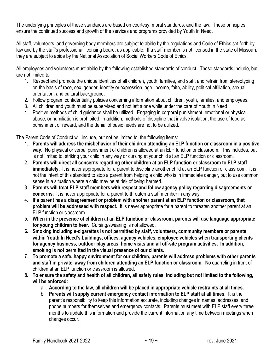The underlying principles of these standards are based on courtesy, moral standards, and the law. These principles ensure the continued success and growth of the services and programs provided by Youth In Need.

All staff, volunteers, and governing body members are subject to abide by the regulations and Code of Ethics set forth by law and by the staff's professional licensing board, as applicable. If a staff member is not licensed in the state of Missouri, they are subject to abide by the National Association of Social Workers Code of Ethics.

All employees and volunteers must abide by the following established standards of conduct. These standards include, but are not limited to:

- 1. Respect and promote the unique identities of all children, youth, families, and staff, and refrain from stereotyping on the basis of race, sex, gender, identity or expression, age, income, faith, ability, political affiliation, sexual orientation, and cultural background.
- 2. Follow program confidentiality policies concerning information about children, youth, families, and employees.
- 3. All children and youth must be supervised and not left alone while under the care of Youth In Need.
- 4. Positive methods of child guidance shall be utilized. Engaging in corporal punishment, emotional or physical abuse, or humiliation is prohibited; in addition, methods of discipline that involve isolation, the use of food as punishment or reward, and the denial of basic needs are not to be utilized.

The Parent Code of Conduct will include, but not be limited to, the following items:

- 1. **Parents will address the misbehavior of their children attending an ELP function or classroom in a positive way.** No physical or verbal punishment of children is allowed at an ELP function or classroom. This includes, but is not limited to, striking your child in any way or cursing at your child at an ELP function or classroom.
- 2. **Parents will direct all concerns regarding other children at an ELP function or classroom to ELP staff immediately.** It is never appropriate for a parent to discipline another child at an ELP function or classroom. It is not the intent of this standard to stop a parent from helping a child who is in immediate danger, but to use common sense in a situation where a child may be at risk of being harmed.
- 3. **Parents will treat ELP staff members with respect and follow agency policy regarding disagreements or concerns.** It is never appropriate for a parent to threaten a staff member in any way.
- 4. **If a parent has a disagreement or problem with another parent at an ELP function or classroom, that problem will be addressed with respect.** It is never appropriate for a parent to threaten another parent at an ELP function or classroom.
- 5. **When in the presence of children at an ELP function or classroom, parents will use language appropriate for young children to hear.** Cursing/swearing is not allowed.
- **6. Smoking including e-cigarettes is not permitted by staff, volunteers, community members or parents within Youth In Need's buildings, offices, agency vehicles, employee vehicles when transporting clients for agency business, outdoor play areas, home visits and all off-site program activities. In addition, smoking is not permitted in the visual presence of our clients.**
- 7. **To promote a safe, happy environment for our children, parents will address problems with other parents and staff in private, away from children attending an ELP function or classroom.** No quarreling in front of children at an ELP function or classroom is allowed.
- **8. To ensure the safety and health of all children, all safety rules, including but not limited to the following, will be enforced:**
	- a. **According to the law, all children will be placed in appropriate vehicle restraints at all times.**
	- b. **Parents will supply current emergency contact information to ELP staff at all times.** It is the parent's responsibility to keep this information accurate, including changes in names, addresses, and phone numbers for themselves and emergency contacts. Parents must meet with ELP staff every three months to update this information and provide the current information any time between meetings when changes occur.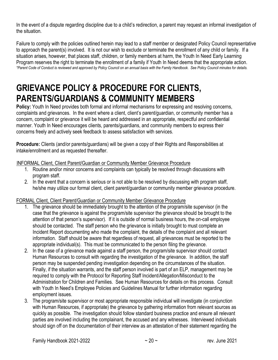In the event of a dispute regarding discipline due to a child's redirection, a parent may request an informal investigation of the situation.

Failure to comply with the policies outlined herein may lead to a staff member or designated Policy Council representative to approach the parent(s) involved. It is not our wish to exclude or terminate the enrollment of any child or family. If a situation arises, however, that places staff, children, or family members at harm, the Youth In Need Early Learning Program reserves the right to terminate the enrollment of a family if Youth In Need deems that the appropriate action. *\*Parent Code of Conduct is reviewed and approved by Policy Council on an annual basis with the Family Handbook. See Policy Council minutes for details.*

# <span id="page-24-0"></span>**GRIEVANCE POLICY & PROCEDURE FOR CLIENTS, PARENTS/GUARDIANS & COMMUNITY MEMBERS**

**Policy:** Youth In Need provides both formal and informal mechanisms for expressing and resolving concerns, complaints and grievances. In the event where a client, client's parent/guardian, or community member has a concern, complaint or grievance it will be heard and addressed in an appropriate, respectful and confidential manner. Youth In Need encourages clients, parents/guardians, and community members to express their concerns freely and actively seek feedback to assess satisfaction with services.

**Procedure:** Clients (and/or parents/guardians) will be given a copy of their Rights and Responsibilities at intake/enrollment and as requested thereafter.

#### <sup>U</sup>INFORMAL Client, Client Parent/Guardian or Community Member Grievance Procedure

- 1. Routine and/or minor concerns and complaints can typically be resolved through discussions with program staff.
- 2. In the event that a concern is serious or is not able to be resolved by discussing with program staff, he/she may utilize our formal client, client parent/guardian or community member grievance procedure.

#### FORMAL Client, Client Parent/Guardian or Community Member Grievance Procedure

- 1. The grievance should be immediately brought to the attention of the program/site supervisor (in the case that the grievance is against the program/site supervisor the grievance should be brought to the attention of that person's supervisor). If it is outside of normal business hours, the on-call employee should be contacted. The staff person who the grievance is initially brought to must complete an Incident Report documenting who made the complaint, the details of the complaint and all relevant information. Staff should be aware that regardless of request, all grievances must be reported to the appropriate individual(s). This must be communicated to the person filing the grievance.
- 2. In the case of a grievance made against a staff person, the program/site supervisor should contact Human Resources to consult with regarding the investigation of the grievance. In addition, the staff person may be suspended pending investigation depending on the circumstances of the situation. Finally, if the situation warrants, and the staff person involved is part of an ELP, management may be required to comply with the Protocol for Reporting Staff Incident/Allegation/Misconduct to the Administration for Children and Families. See Human Resources for details on this process. Consult with Youth In Need's Employee Policies and Guidelines Manual for further information regarding employment issues.
- 3. The program/site supervisor or most appropriate responsible individual will investigate (in conjunction with Human Resources, if appropriate) the grievance by gathering information from relevant sources as quickly as possible. The investigation should follow standard business practice and ensure all relevant parties are involved including the complainant, the accused and any witnesses. Interviewed individuals should sign off on the documentation of their interview as an attestation of their statement regarding the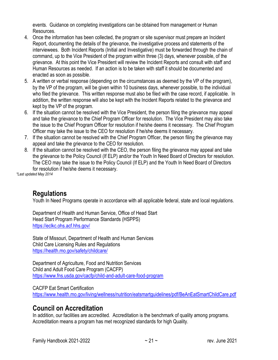events. Guidance on completing investigations can be obtained from management or Human Resources.

- 4. Once the information has been collected, the program or site supervisor must prepare an Incident Report, documenting the details of the grievance, the investigative process and statements of the interviewees. Both Incident Reports (Initial and Investigative) must be forwarded through the chain of command, up to the Vice President of the program within three (3) days, whenever possible, of the grievance. At this point the Vice President will review the Incident Reports and consult with staff and Human Resources as needed. If an action is to be taken with staff it should be documented and enacted as soon as possible.
- 5. A written or verbal response (depending on the circumstances as deemed by the VP of the program), by the VP of the program, will be given within 10 business days, whenever possible, to the individual who filed the grievance. This written response must also be filed with the case record, if applicable. In addition, the written response will also be kept with the Incident Reports related to the grievance and kept by the VP of the program.
- 6. If the situation cannot be resolved with the Vice President, the person filing the grievance may appeal and take the grievance to the Chief Program Officer for resolution. The Vice President may also take the issue to the Chief Program Officer for resolution if he/she deems it necessary. The Chief Program Officer may take the issue to the CEO for resolution if he/she deems it necessary.
- 7. If the situation cannot be resolved with the Chief Program Officer, the person filing the grievance may appeal and take the grievance to the CEO for resolution.
- 8. If the situation cannot be resolved with the CEO, the person filing the grievance may appeal and take the grievance to the Policy Council (If ELP) and/or the Youth In Need Board of Directors for resolution. The CEO may take the issue to the Policy Council (If ELP) and the Youth In Need Board of Directors for resolution if he/she deems it necessary.

*\*Last updated May 2014*

#### **Regulations**

Youth In Need Programs operate in accordance with all applicable federal, state and local regulations.

Department of Health and Human Service, Office of Head Start Head Start Program Performance Standards (HSPPS) <https://eclkc.ohs.acf.hhs.gov/>

State of Missouri, Department of Health and Human Services Child Care Licensing Rules and Regulations <https://health.mo.gov/safety/childcare/>

Department of Agriculture, Food and Nutrition Services Child and Adult Food Care Program (CACFP) <https://www.fns.usda.gov/cacfp/child-and-adult-care-food-program>

#### CACFP Eat Smart Certification

<https://www.health.mo.gov/living/wellness/nutrition/eatsmartguidelines/pdf/BeAnEatSmartChildCare.pdf>

#### **Council on Accreditation**

In addition, our facilities are accredited. Accreditation is the benchmark of quality among programs. Accreditation means a program has met recognized standards for high Quality.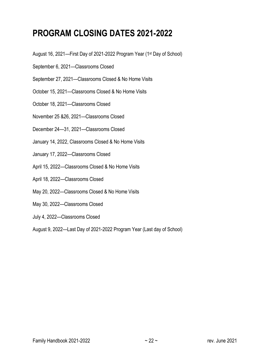# <span id="page-26-0"></span>**PROGRAM CLOSING DATES 2021-2022**

- August 16, 2021—First Day of 2021-2022 Program Year (1st Day of School)
- September 6, 2021—Classrooms Closed
- September 27, 2021—Classrooms Closed & No Home Visits
- October 15, 2021—Classrooms Closed & No Home Visits
- October 18, 2021—Classrooms Closed
- November 25 &26, 2021—Classrooms Closed
- December 24—31, 2021—Classrooms Closed
- January 14, 2022, Classrooms Closed & No Home Visits
- January 17, 2022—Classrooms Closed
- April 15, 2022—Classrooms Closed & No Home Visits
- April 18, 2022—Classrooms Closed
- May 20, 2022—Classrooms Closed & No Home Visits
- May 30, 2022—Classrooms Closed
- July 4, 2022—Classrooms Closed
- August 9, 2022—Last Day of 2021-2022 Program Year (Last day of School)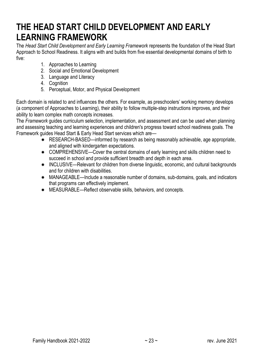# <span id="page-27-0"></span>**THE HEAD START CHILD DEVELOPMENT AND EARLY LEARNING FRAMEWORK**

The *Head Start Child Development and Early Learning Framework* represents the foundation of the Head Start Approach to School Readiness. It aligns with and builds from five essential developmental domains of birth to five:

- 1. Approaches to Learning
- 2. Social and Emotional Development
- 3. Language and Literacy
- 4. Cognition
- 5. Perceptual, Motor, and Physical Development

Each domain is related to and influences the others. For example, as preschoolers' working memory develops (a component of Approaches to Learning), their ability to follow multiple-step instructions improves, and their ability to learn complex math concepts increases.

The *Framework* guides curriculum selection, implementation, and assessment and can be used when planning and assessing teaching and learning experiences and children's progress toward school readiness goals. The Framework guides Head Start & Early Head Start services which are—

- RESEARCH-BASED—informed by research as being reasonably achievable, age appropriate, and aligned with kindergarten expectations.
- \* COMPREHENSIVE—Cover the central domains of early learning and skills children need to succeed in school and provide sufficient breadth and depth in each area.
- \* INCLUSIVE—Relevant for children from diverse linguistic, economic, and cultural backgrounds and for children with disabilities.
- MANAGEABLE—Include a reasonable number of domains, sub-domains, goals, and indicators that programs can effectively implement.
- MEASURABLE—Reflect observable skills, behaviors, and concepts.